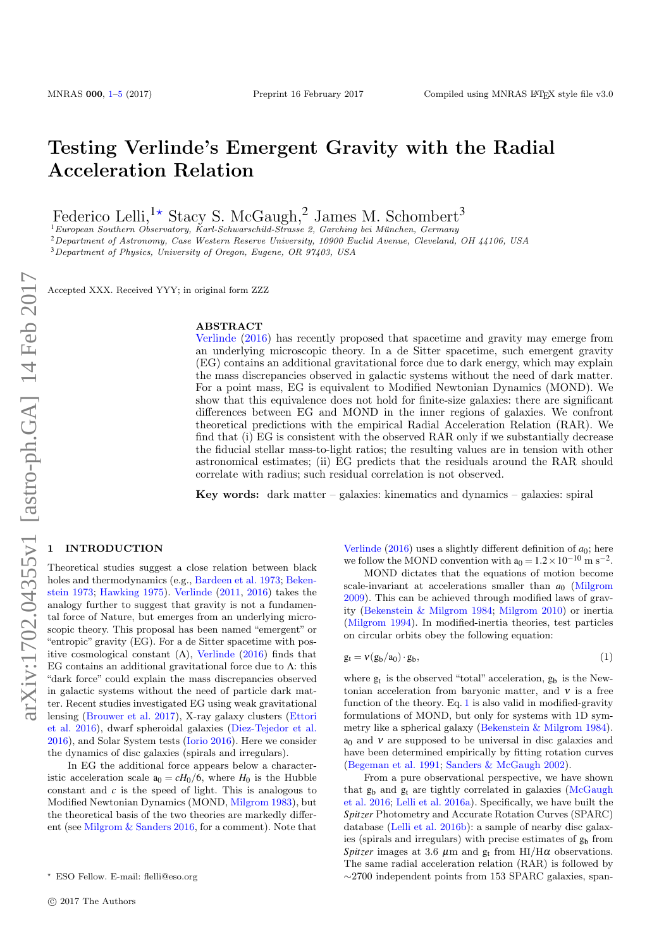# Testing Verlinde's Emergent Gravity with the Radial Acceleration Relation

Federico Lelli,<sup>1\*</sup> Stacy S. McGaugh,<sup>2</sup> James M. Schombert<sup>3</sup>

 $1$ European Southern Observatory, Karl-Schwarschild-Strasse 2, Garching bei München, Germany

<sup>2</sup>Department of Astronomy, Case Western Reserve University, 10900 Euclid Avenue, Cleveland, OH 44106, USA

<sup>3</sup>Department of Physics, University of Oregon, Eugene, OR 97403, USA

Accepted XXX. Received YYY; in original form ZZZ

### ABSTRACT

[Verlinde](#page-4-0) [\(2016\)](#page-4-0) has recently proposed that spacetime and gravity may emerge from an underlying microscopic theory. In a de Sitter spacetime, such emergent gravity (EG) contains an additional gravitational force due to dark energy, which may explain the mass discrepancies observed in galactic systems without the need of dark matter. For a point mass, EG is equivalent to Modified Newtonian Dynamics (MOND). We show that this equivalence does not hold for finite-size galaxies: there are significant differences between EG and MOND in the inner regions of galaxies. We confront theoretical predictions with the empirical Radial Acceleration Relation (RAR). We find that (i) EG is consistent with the observed RAR only if we substantially decrease the fiducial stellar mass-to-light ratios; the resulting values are in tension with other astronomical estimates; (ii) EG predicts that the residuals around the RAR should correlate with radius; such residual correlation is not observed.

**Key words:** dark matter – galaxies: kinematics and dynamics – galaxies: spiral

## <span id="page-0-0"></span>**INTRODUCTION**

Theoretical studies suggest a close relation between black holes and thermodynamics (e.g., [Bardeen et al.](#page-3-1) [1973;](#page-3-1) [Beken](#page-3-2)[stein](#page-3-2) [1973;](#page-3-2) [Hawking](#page-3-3) [1975\)](#page-3-3). [Verlinde](#page-4-1) [\(2011,](#page-4-1) [2016\)](#page-4-0) takes the analogy further to suggest that gravity is not a fundamental force of Nature, but emerges from an underlying microscopic theory. This proposal has been named "emergent" or "entropic" gravity (EG). For a de Sitter spacetime with positive cosmological constant  $(Λ)$ , [Verlinde](#page-4-0)  $(2016)$  finds that EG contains an additional gravitational force due to  $\Lambda$ : this "dark force" could explain the mass discrepancies observed in galactic systems without the need of particle dark matter. Recent studies investigated EG using weak gravitational lensing [\(Brouwer et al.](#page-3-4) [2017\)](#page-3-4), X-ray galaxy clusters [\(Ettori](#page-3-5) [et al.](#page-3-5) [2016\)](#page-3-5), dwarf spheroidal galaxies [\(Diez-Tejedor et al.](#page-3-6) [2016\)](#page-3-6), and Solar System tests [\(Iorio](#page-3-7) [2016\)](#page-3-7). Here we consider the dynamics of disc galaxies (spirals and irregulars).

In EG the additional force appears below a characteristic acceleration scale  $a_0 = cH_0/6$ , where  $H_0$  is the Hubble constant and *c* is the speed of light. This is analogous to Modified Newtonian Dynamics (MOND, [Milgrom](#page-3-8) [1983\)](#page-3-8), but the theoretical basis of the two theories are markedly different (see [Milgrom & Sanders](#page-3-9) [2016,](#page-3-9) for a comment). Note that [Verlinde](#page-4-0)  $(2016)$  uses a slightly different definition of  $a_0$ ; here we follow the MOND convention with  $a_0 = 1.2 \times 10^{-10}$  m s<sup>-2</sup>.

MOND dictates that the equations of motion become scale-invariant at accelerations smaller than  $a_0$  [\(Milgrom](#page-3-10) [2009\)](#page-3-10). This can be achieved through modified laws of gravity [\(Bekenstein & Milgrom](#page-3-11) [1984;](#page-3-11) [Milgrom](#page-3-12) [2010\)](#page-3-12) or inertia [\(Milgrom](#page-3-13) [1994\)](#page-3-13). In modified-inertia theories, test particles on circular orbits obey the following equation:

<span id="page-0-1"></span>
$$
g_t = \nu(g_b/a_0) \cdot g_b,\tag{1}
$$

where  $g_t$  is the observed "total" acceleration,  $g_b$  is the Newtonian acceleration from baryonic matter, and  $v$  is a free function of the theory. Eq. [1](#page-0-1) is also valid in modified-gravity formulations of MOND, but only for systems with 1D symmetry like a spherical galaxy [\(Bekenstein & Milgrom](#page-3-11) [1984\)](#page-3-11).  $a_0$  and  $v$  are supposed to be universal in disc galaxies and have been determined empirically by fitting rotation curves [\(Begeman et al.](#page-3-14) [1991;](#page-3-14) [Sanders & McGaugh](#page-4-2) [2002\)](#page-4-2).

From a pure observational perspective, we have shown that  $g_b$  and  $g_t$  are tightly correlated in galaxies [\(McGaugh](#page-3-15) [et al.](#page-3-15) [2016;](#page-3-15) [Lelli et al.](#page-3-16) [2016a\)](#page-3-16). Specifically, we have built the *Spitzer* Photometry and Accurate Rotation Curves (SPARC) database [\(Lelli et al.](#page-3-17) [2016b\)](#page-3-17): a sample of nearby disc galaxies (spirals and irregulars) with precise estimates of  $g<sub>b</sub>$  from *Spitzer* images at 3.6  $\mu$ m and g<sub>t</sub> from HI/H $\alpha$  observations. The same radial acceleration relation (RAR) is followed by ∼2700 independent points from 153 SPARC galaxies, span-

<sup>?</sup> ESO Fellow. E-mail: flelli@eso.org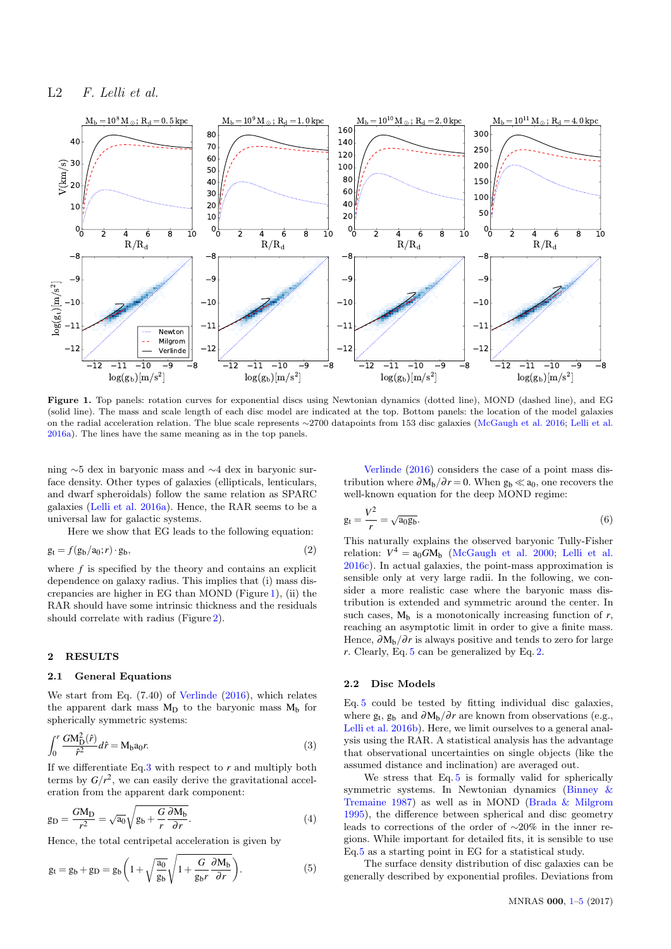## L2 F. Lelli et al.



Figure 1. Top panels: rotation curves for exponential discs using Newtonian dynamics (dotted line), MOND (dashed line), and EG (solid line). The mass and scale length of each disc model are indicated at the top. Bottom panels: the location of the model galaxies on the radial acceleration relation. The blue scale represents ∼2700 datapoints from 153 disc galaxies [\(McGaugh et al.](#page-3-15) [2016;](#page-3-15) [Lelli et al.](#page-3-16) [2016a\)](#page-3-16). The lines have the same meaning as in the top panels.

ning ∼5 dex in baryonic mass and ∼4 dex in baryonic surface density. Other types of galaxies (ellipticals, lenticulars, and dwarf spheroidals) follow the same relation as SPARC galaxies [\(Lelli et al.](#page-3-16) [2016a\)](#page-3-16). Hence, the RAR seems to be a universal law for galactic systems.

Here we show that EG leads to the following equation:

$$
g_t = f(g_b/a_0; r) \cdot g_b,\tag{2}
$$

where  $f$  is specified by the theory and contains an explicit dependence on galaxy radius. This implies that (i) mass discrepancies are higher in EG than MOND (Figure [1\)](#page-1-0), (ii) the RAR should have some intrinsic thickness and the residuals should correlate with radius (Figure [2\)](#page-2-0).

#### 2 RESULTS

#### 2.1 General Equations

We start from Eq. (7.40) of [Verlinde](#page-4-0) [\(2016\)](#page-4-0), which relates the apparent dark mass  $M_D$  to the baryonic mass  $M_b$  for spherically symmetric systems:

<span id="page-1-1"></span>
$$
\int_0^r \frac{GM_{\rm D}^2(\hat{r})}{\hat{r}^2} d\hat{r} = M_{\rm b} a_0 r. \tag{3}
$$

If we differentiate Eq[.3](#page-1-1) with respect to *r* and multiply both terms by  $G/r^2$ , we can easily derive the gravitational acceleration from the apparent dark component:

$$
g_D = \frac{GM_D}{r^2} = \sqrt{a_0} \sqrt{g_b + \frac{G}{r} \frac{\partial M_b}{\partial r}}.
$$
\n(4)

Hence, the total centripetal acceleration is given by

$$
g_t = g_b + g_D = g_b \left( 1 + \sqrt{\frac{a_0}{g_b}} \sqrt{1 + \frac{G}{g_b r} \frac{\partial M_b}{\partial r}} \right).
$$
 (5)

<span id="page-1-0"></span>[Verlinde](#page-4-0) [\(2016\)](#page-4-0) considers the case of a point mass distribution where  $\partial M_b/\partial r = 0$ . When  $g_b \ll a_0$ , one recovers the well-known equation for the deep MOND regime:

$$
g_t = \frac{V^2}{r} = \sqrt{a_0 g_b}.\tag{6}
$$

<span id="page-1-3"></span>This naturally explains the observed baryonic Tully-Fisher relation:  $V^4 = a_0 G M_b$  [\(McGaugh et al.](#page-3-18) [2000;](#page-3-18) [Lelli et al.](#page-3-19) [2016c\)](#page-3-19). In actual galaxies, the point-mass approximation is sensible only at very large radii. In the following, we consider a more realistic case where the baryonic mass distribution is extended and symmetric around the center. In such cases,  $M_b$  is a monotonically increasing function of  $r$ , reaching an asymptotic limit in order to give a finite mass. Hence,  $\partial M_b/\partial r$  is always positive and tends to zero for large *r*. Clearly, Eq. [5](#page-1-2) can be generalized by Eq. [2.](#page-1-3)

#### 2.2 Disc Models

Eq. [5](#page-1-2) could be tested by fitting individual disc galaxies, where  $g_t$ ,  $g_b$  and  $\partial M_b/\partial r$  are known from observations (e.g., [Lelli et al.](#page-3-17) [2016b\)](#page-3-17). Here, we limit ourselves to a general analysis using the RAR. A statistical analysis has the advantage that observational uncertainties on single objects (like the assumed distance and inclination) are averaged out.

We stress that Eq. [5](#page-1-2) is formally valid for spherically symmetric systems. In Newtonian dynamics [\(Binney &](#page-3-20) [Tremaine](#page-3-20) [1987\)](#page-3-20) as well as in MOND [\(Brada & Milgrom](#page-3-21) [1995\)](#page-3-21), the difference between spherical and disc geometry leads to corrections of the order of ∼20% in the inner regions. While important for detailed fits, it is sensible to use Eq[.5](#page-1-2) as a starting point in EG for a statistical study.

<span id="page-1-2"></span>The surface density distribution of disc galaxies can be generally described by exponential profiles. Deviations from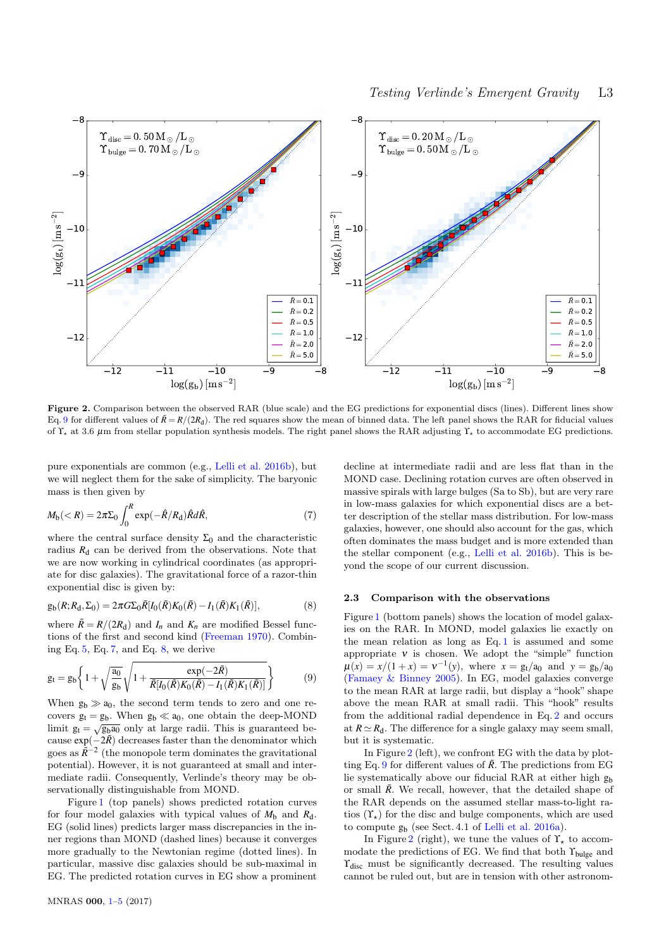

Figure 2. Comparison between the observed RAR (blue scale) and the EG predictions for exponential discs (lines). Different lines show Eq. [9](#page-2-1) for different values of  $\tilde{R} = R/(2R_d)$ . The red squares show the mean of binned data. The left panel shows the RAR for fiducial values of  $\Upsilon_{\star}$  at 3.6 μm from stellar population synthesis models. The right panel shows the RAR adjusting  $\Upsilon_{\star}$  to accommodate EG predictions.

pure exponentials are common (e.g., [Lelli et al.](#page-3-17) [2016b\)](#page-3-17), but we will neglect them for the sake of simplicity. The baryonic mass is then given by

<span id="page-2-2"></span>
$$
M_{\rm b}(
$$

where the central surface density  $\Sigma_0$  and the characteristic radius  $R_d$  can be derived from the observations. Note that we are now working in cylindrical coordinates (as appropriate for disc galaxies). The gravitational force of a razor-thin exponential disc is given by:

<span id="page-2-3"></span>
$$
g_{b}(R;R_{d},\Sigma_{0})=2\pi G\Sigma_{0}\tilde{R}[I_{0}(\tilde{R})K_{0}(\tilde{R})-I_{1}(\tilde{R})K_{1}(\tilde{R})],
$$
\n(8)

where  $\tilde{R} = R/(2R_d)$  and  $I_n$  and  $K_n$  are modified Bessel functions of the first and second kind [\(Freeman](#page-3-22) [1970\)](#page-3-22). Combining Eq. [5,](#page-1-2) Eq. [7,](#page-2-2) and Eq. [8,](#page-2-3) we derive

$$
g_{t} = g_{b} \left\{ 1 + \sqrt{\frac{a_{0}}{g_{b}}} \sqrt{1 + \frac{\exp(-2\tilde{R})}{\tilde{R}[I_{0}(\tilde{R})K_{0}(\tilde{R}) - I_{1}(\tilde{R})K_{1}(\tilde{R})]}} \right\}
$$
(9)

When  $g_b \gg a_0$ , the second term tends to zero and one recovers  $g_t = g_b$ . When  $g_b \ll a_0$ , one obtain the deep-MOND limit  $g_t = \sqrt{g_b a_0}$  only at large radii. This is guaranteed because  $\exp(-2\tilde{R})$  decreases faster than the denominator which goes as  $\tilde{R}^{-2}$  (the monopole term dominates the gravitational potential). However, it is not guaranteed at small and intermediate radii. Consequently, Verlinde's theory may be observationally distinguishable from MOND.

Figure [1](#page-1-0) (top panels) shows predicted rotation curves for four model galaxies with typical values of  $M_b$  and  $R_d$ . EG (solid lines) predicts larger mass discrepancies in the inner regions than MOND (dashed lines) because it converges more gradually to the Newtonian regime (dotted lines). In particular, massive disc galaxies should be sub-maximal in EG. The predicted rotation curves in EG show a prominent

<span id="page-2-0"></span>decline at intermediate radii and are less flat than in the MOND case. Declining rotation curves are often observed in massive spirals with large bulges (Sa to Sb), but are very rare in low-mass galaxies for which exponential discs are a better description of the stellar mass distribution. For low-mass galaxies, however, one should also account for the gas, which often dominates the mass budget and is more extended than the stellar component (e.g., [Lelli et al.](#page-3-17) [2016b\)](#page-3-17). This is beyond the scope of our current discussion.

### 2.3 Comparison with the observations

<span id="page-2-1"></span>Figure [1](#page-1-0) (bottom panels) shows the location of model galaxies on the RAR. In MOND, model galaxies lie exactly on the mean relation as long as Eq. [1](#page-0-1) is assumed and some appropriate  $v$  is chosen. We adopt the "simple" function  $\mu(x) = x/(1+x) = v^{-1}(y)$ , where  $x = g_t/a_0$  and  $y = g_b/a_0$ [\(Famaey & Binney](#page-3-23) [2005\)](#page-3-23). In EG, model galaxies converge to the mean RAR at large radii, but display a "hook" shape above the mean RAR at small radii. This "hook" results from the additional radial dependence in Eq. [2](#page-1-3) and occurs at  $R \simeq R_d$ . The difference for a single galaxy may seem small, but it is systematic.

In Figure [2](#page-2-0) (left), we confront EG with the data by plot-ting Eq. [9](#page-2-1) for different values of  $\tilde{R}$ . The predictions from EG lie systematically above our fiducial RAR at either high g<sup>b</sup> or small  $\tilde{R}$ . We recall, however, that the detailed shape of the RAR depends on the assumed stellar mass-to-light ratios  $(\Upsilon_{\star})$  for the disc and bulge components, which are used to compute g<sup>b</sup> (see Sect. 4.1 of [Lelli et al.](#page-3-16) [2016a\)](#page-3-16).

In Figure [2](#page-2-0) (right), we tune the values of  $\Upsilon_{\star}$  to accommodate the predictions of EG. We find that both  $\Upsilon_{bulge}$  and  $\Upsilon_{\text{disc}}$  must be significantly decreased. The resulting values cannot be ruled out, but are in tension with other astronom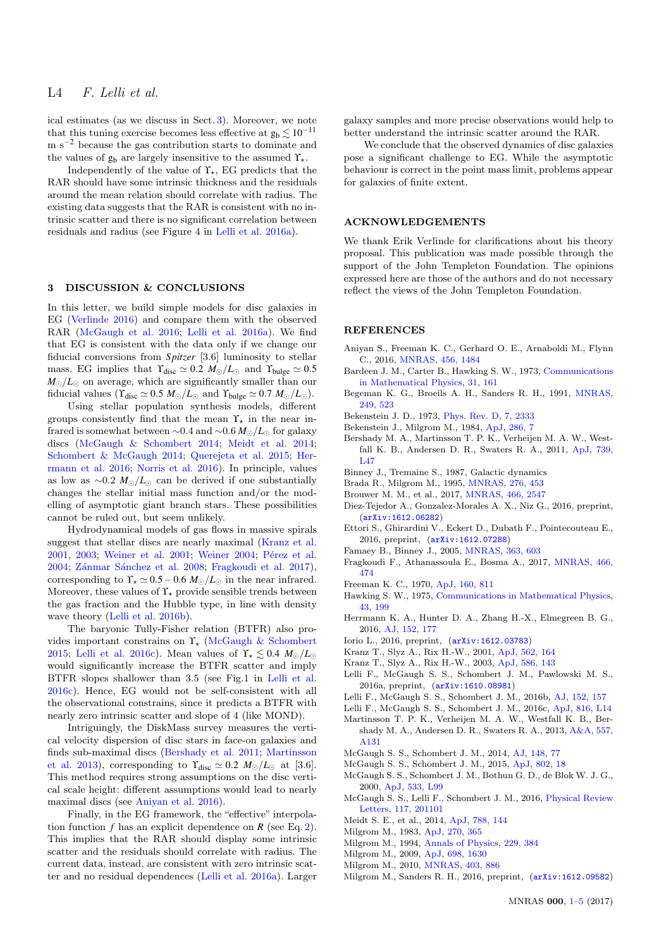ical estimates (as we discuss in Sect. [3\)](#page-3-0). Moreover, we note that this tuning exercise becomes less effective at  $g_b \lesssim 10^{-11}$ m s−<sup>2</sup> because the gas contribution starts to dominate and the values of  $g_b$  are largely insensitive to the assumed  $\Upsilon_{\star}$ .

Independently of the value of  $\Upsilon_{\star}$ , EG predicts that the RAR should have some intrinsic thickness and the residuals around the mean relation should correlate with radius. The existing data suggests that the RAR is consistent with no intrinsic scatter and there is no significant correlation between residuals and radius (see Figure 4 in [Lelli et al.](#page-3-16) [2016a\)](#page-3-16).

#### <span id="page-3-0"></span>3 DISCUSSION & CONCLUSIONS

In this letter, we build simple models for disc galaxies in EG [\(Verlinde](#page-4-0) [2016\)](#page-4-0) and compare them with the observed RAR [\(McGaugh et al.](#page-3-15) [2016;](#page-3-15) [Lelli et al.](#page-3-16) [2016a\)](#page-3-16). We find that EG is consistent with the data only if we change our fiducial conversions from *Spitzer* [3.6] luminosity to stellar mass. EG implies that  $\Upsilon_{\text{disc}} \simeq 0.2 M_{\odot}/L_{\odot}$  and  $\Upsilon_{\text{bulge}} \simeq 0.5$  $M_{\odot}/L_{\odot}$  on average, which are significantly smaller than our fiducial values ( $\Upsilon_{\text{disc}} \simeq 0.5 M_{\odot}/L_{\odot}$  and  $\Upsilon_{\text{bulge}} \simeq 0.7 M_{\odot}/L_{\odot}$ ).

Using stellar population synthesis models, different groups consistently find that the mean  $\Upsilon_{\star}$  in the near infrared is somewhat between  $\sim 0.4$  and  $\sim 0.6$  *M*<sub>∩</sub>/*L*<sub>∩</sub> for galaxy discs [\(McGaugh & Schombert](#page-3-24) [2014;](#page-3-24) [Meidt et al.](#page-3-25) [2014;](#page-3-25) [Schombert & McGaugh](#page-4-3) [2014;](#page-4-3) [Querejeta et al.](#page-4-4) [2015;](#page-4-4) [Her](#page-3-26)[rmann et al.](#page-3-26) [2016;](#page-3-26) [Norris et al.](#page-4-5) [2016\)](#page-4-5). In principle, values as low as  $\sim$ 0.2 *M*<sub>☉</sub>/*L*<sub>☉</sub> can be derived if one substantially changes the stellar initial mass function and/or the modelling of asymptotic giant branch stars. These possibilities cannot be ruled out, but seem unlikely.

Hydrodynamical models of gas flows in massive spirals suggest that stellar discs are nearly maximal [\(Kranz et al.](#page-3-27) [2001,](#page-3-27) [2003;](#page-3-28) [Weiner et al.](#page-4-6) [2001;](#page-4-6) [Weiner](#page-4-7) [2004;](#page-4-7) Pérez et al. [2004;](#page-4-8) Zánmar Sánchez et al. [2008;](#page-4-9) [Fragkoudi et al.](#page-3-29) [2017\)](#page-3-29), corresponding to  $\Upsilon_{\star} \simeq 0.5 - 0.6$  *M*<sub> $\odot$ </sub>/*L*<sub> $\odot$ </sub> in the near infrared. Moreover, these values of  $\Upsilon_{\star}$  provide sensible trends between the gas fraction and the Hubble type, in line with density wave theory [\(Lelli et al.](#page-3-17) [2016b\)](#page-3-17).

The baryonic Tully-Fisher relation (BTFR) also provides important constrains on  $\Upsilon_{\star}$  [\(McGaugh & Schombert](#page-3-30) [2015;](#page-3-30) [Lelli et al.](#page-3-19) [2016c\)](#page-3-19). Mean values of  $\Upsilon_{\star} \leq 0.4$   $M_{\odot}/L_{\odot}$ would significantly increase the BTFR scatter and imply BTFR slopes shallower than 3.5 (see Fig.1 in [Lelli et al.](#page-3-19) [2016c\)](#page-3-19). Hence, EG would not be self-consistent with all the observational constrains, since it predicts a BTFR with nearly zero intrinsic scatter and slope of 4 (like MOND).

Intriguingly, the DiskMass survey measures the vertical velocity dispersion of disc stars in face-on galaxies and finds sub-maximal discs [\(Bershady et al.](#page-3-31) [2011;](#page-3-31) [Martinsson](#page-3-32) [et al.](#page-3-32) [2013\)](#page-3-32), corresponding to  $\Upsilon_{disc} \simeq 0.2 M_{\odot}/L_{\odot}$  at [3.6]. This method requires strong assumptions on the disc vertical scale height: different assumptions would lead to nearly maximal discs (see [Aniyan et al.](#page-3-33) [2016\)](#page-3-33).

Finally, in the EG framework, the "effective" interpolation function  $f$  has an explicit dependence on  $R$  (see Eq. [2\)](#page-1-3). This implies that the RAR should display some intrinsic scatter and the residuals should correlate with radius. The current data, instead, are consistent with zero intrinsic scatter and no residual dependences [\(Lelli et al.](#page-3-16) [2016a\)](#page-3-16). Larger

galaxy samples and more precise observations would help to better understand the intrinsic scatter around the RAR.

We conclude that the observed dynamics of disc galaxies pose a significant challenge to EG. While the asymptotic behaviour is correct in the point mass limit, problems appear for galaxies of finite extent.

#### ACKNOWLEDGEMENTS

We thank Erik Verlinde for clarifications about his theory proposal. This publication was made possible through the support of the John Templeton Foundation. The opinions expressed here are those of the authors and do not necessary reflect the views of the John Templeton Foundation.

#### **REFERENCES**

- <span id="page-3-33"></span>Aniyan S., Freeman K. C., Gerhard O. E., Arnaboldi M., Flynn C., 2016, [MNRAS,](http://dx.doi.org/10.1093/mnras/stv2730) [456, 1484](http://adsabs.harvard.edu/abs/2016MNRAS.456.1484A)
- <span id="page-3-1"></span>Bardeen J. M., Carter B., Hawking S. W., 1973, [Communications](http://dx.doi.org/10.1007/BF01645742) [in Mathematical Physics,](http://dx.doi.org/10.1007/BF01645742) [31, 161](http://adsabs.harvard.edu/abs/1973CMaPh..31..161B)
- <span id="page-3-14"></span>Begeman K. G., Broeils A. H., Sanders R. H., 1991, [MNRAS,](http://dx.doi.org/10.1093/mnras/249.3.523) [249, 523](http://adsabs.harvard.edu/abs/1991MNRAS.249..523B)
- <span id="page-3-2"></span>Bekenstein J. D., 1973, [Phys. Rev. D,](http://dx.doi.org/10.1103/PhysRevD.7.2333) [7, 2333](http://adsabs.harvard.edu/abs/1973PhRvD...7.2333B)
- <span id="page-3-11"></span>Bekenstein J., Milgrom M., 1984, [ApJ,](http://dx.doi.org/10.1086/162570) [286, 7](http://adsabs.harvard.edu/abs/1984ApJ...286....7B)
- <span id="page-3-31"></span>Bershady M. A., Martinsson T. P. K., Verheijen M. A. W., Westfall K. B., Andersen D. R., Swaters R. A., 2011, [ApJ,](http://dx.doi.org/10.1088/2041-8205/739/2/L47) [739,](http://adsabs.harvard.edu/abs/2011ApJ...739L..47B) [L47](http://adsabs.harvard.edu/abs/2011ApJ...739L..47B)
- <span id="page-3-20"></span>Binney J., Tremaine S., 1987, Galactic dynamics
- <span id="page-3-21"></span>Brada R., Milgrom M., 1995, [MNRAS,](http://dx.doi.org/10.1093/mnras/276.2.453) [276, 453](http://adsabs.harvard.edu/abs/1995MNRAS.276..453B)
- <span id="page-3-4"></span>Brouwer M. M., et al., 2017, [MNRAS,](http://dx.doi.org/10.1093/mnras/stw3192) [466, 2547](http://adsabs.harvard.edu/abs/2017MNRAS.466.2547B)
- <span id="page-3-6"></span>Diez-Tejedor A., Gonzalez-Morales A. X., Niz G., 2016, preprint, ([arXiv:1612.06282](http://arxiv.org/abs/1612.06282))
- <span id="page-3-5"></span>Ettori S., Ghirardini V., Eckert D., Dubath F., Pointecouteau E., 2016, preprint, ([arXiv:1612.07288](http://arxiv.org/abs/1612.07288))
- <span id="page-3-23"></span>Famaey B., Binney J., 2005, [MNRAS,](http://dx.doi.org/10.1111/j.1365-2966.2005.09474.x) [363, 603](http://adsabs.harvard.edu/abs/2005MNRAS.363..603F)
- <span id="page-3-29"></span>Fragkoudi F., Athanassoula E., Bosma A., 2017, [MNRAS,](http://dx.doi.org/10.1093/mnras/stw3023) [466,](http://adsabs.harvard.edu/abs/2017MNRAS.466..474F) [474](http://adsabs.harvard.edu/abs/2017MNRAS.466..474F)
- <span id="page-3-22"></span>Freeman K. C., 1970, [ApJ,](http://dx.doi.org/10.1086/150474) [160, 811](http://adsabs.harvard.edu/abs/1970ApJ...160..811F)
- <span id="page-3-3"></span>Hawking S. W., 1975, [Communications in Mathematical Physics,](http://dx.doi.org/10.1007/BF02345020) [43, 199](http://adsabs.harvard.edu/abs/1975CMaPh..43..199H)
- <span id="page-3-26"></span>Herrmann K. A., Hunter D. A., Zhang H.-X., Elmegreen B. G., 2016, [AJ,](http://dx.doi.org/10.3847/0004-6256/152/6/177) [152, 177](http://adsabs.harvard.edu/abs/2016AJ....152..177H)
- <span id="page-3-7"></span>Iorio L., 2016, preprint, ([arXiv:1612.03783](http://arxiv.org/abs/1612.03783))
- <span id="page-3-27"></span>Kranz T., Slyz A., Rix H.-W., 2001, [ApJ,](http://dx.doi.org/10.1086/323468) [562, 164](http://adsabs.harvard.edu/abs/2001ApJ...562..164K)
- <span id="page-3-28"></span>Kranz T., Slyz A., Rix H.-W., 2003, [ApJ,](http://dx.doi.org/10.1086/367551) [586, 143](http://adsabs.harvard.edu/abs/2003ApJ...586..143K)
- <span id="page-3-16"></span>Lelli F., McGaugh S. S., Schombert J. M., Pawlowski M. S., 2016a, preprint, ([arXiv:1610.08981](http://arxiv.org/abs/1610.08981))
- <span id="page-3-17"></span>Lelli F., McGaugh S. S., Schombert J. M., 2016b, [AJ,](http://dx.doi.org/10.3847/0004-6256/152/6/157) [152, 157](http://adsabs.harvard.edu/abs/2016AJ....152..157L)
- <span id="page-3-19"></span>Lelli F., McGaugh S. S., Schombert J. M., 2016c, [ApJ,](http://dx.doi.org/10.3847/2041-8205/816/1/L14) [816, L14](http://adsabs.harvard.edu/abs/2016ApJ...816L..14L)
- <span id="page-3-32"></span>Martinsson T. P. K., Verheijen M. A. W., Westfall K. B., Bershady M. A., Andersen D. R., Swaters R. A., 2013, [A&A,](http://dx.doi.org/10.1051/0004-6361/201321390) [557,](http://adsabs.harvard.edu/abs/2013A%26A...557A.131M) [A131](http://adsabs.harvard.edu/abs/2013A%26A...557A.131M)
- <span id="page-3-24"></span>McGaugh S. S., Schombert J. M., 2014, [AJ,](http://dx.doi.org/10.1088/0004-6256/148/5/77) [148, 77](http://adsabs.harvard.edu/abs/2014AJ....148...77M)
- <span id="page-3-30"></span>McGaugh S. S., Schombert J. M., 2015, [ApJ,](http://dx.doi.org/10.1088/0004-637X/802/1/18) [802, 18](http://adsabs.harvard.edu/abs/2015ApJ...802...18M)
- <span id="page-3-18"></span>McGaugh S. S., Schombert J. M., Bothun G. D., de Blok W. J. G., 2000, [ApJ,](http://dx.doi.org/10.1086/312628) [533, L99](http://adsabs.harvard.edu/abs/2000ApJ...533L..99M)
- <span id="page-3-15"></span>McGaugh S. S., Lelli F., Schombert J. M., 2016, [Physical Review](http://dx.doi.org/10.1103/PhysRevLett.117.201101) [Letters,](http://dx.doi.org/10.1103/PhysRevLett.117.201101) [117, 201101](http://adsabs.harvard.edu/abs/2016PhRvL.117t1101M)
- <span id="page-3-25"></span>Meidt S. E., et al., 2014, [ApJ,](http://dx.doi.org/10.1088/0004-637X/788/2/144) [788, 144](http://adsabs.harvard.edu/abs/2014ApJ...788..144M)
- <span id="page-3-8"></span>Milgrom M., 1983, [ApJ,](http://dx.doi.org/10.1086/161130) [270, 365](http://adsabs.harvard.edu/abs/1983ApJ...270..365M)
- <span id="page-3-13"></span>Milgrom M., 1994, [Annals of Physics,](http://dx.doi.org/10.1006/aphy.1994.1012) [229, 384](http://adsabs.harvard.edu/abs/1994AnPhy.229..384M)
- <span id="page-3-10"></span>Milgrom M., 2009, [ApJ,](http://dx.doi.org/10.1088/0004-637X/698/2/1630) [698, 1630](http://adsabs.harvard.edu/abs/2009ApJ...698.1630M)
- <span id="page-3-12"></span>Milgrom M., 2010, [MNRAS,](http://dx.doi.org/10.1111/j.1365-2966.2009.16184.x) [403, 886](http://adsabs.harvard.edu/abs/2010MNRAS.403..886M)
- <span id="page-3-9"></span>Milgrom M., Sanders R. H., 2016, preprint, ([arXiv:1612.09582](http://arxiv.org/abs/1612.09582))